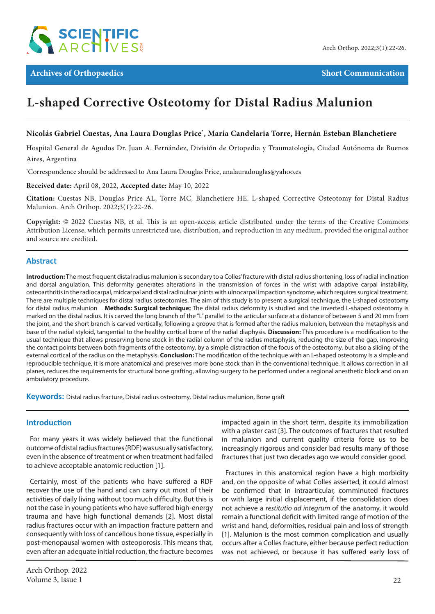

# **L-shaped Corrective Osteotomy for Distal Radius Malunion**

# **Nicolás Gabriel Cuestas, Ana Laura Douglas Price\* , María Candelaria Torre, Hernán Esteban Blanchetiere**

Hospital General de Agudos Dr. Juan A. Fernández, División de Ortopedia y Traumatología, Ciudad Autónoma de Buenos Aires, Argentina

**\*** Correspondence should be addressed to Ana Laura Douglas Price, analauradouglas@yahoo.es

**Received date:** April 08, 2022, **Accepted date:** May 10, 2022

**Citation:** Cuestas NB, Douglas Price AL, Torre MC, Blanchetiere HE. L-shaped Corrective Osteotomy for Distal Radius Malunion. Arch Orthop. 2022;3(1):22-26.

**Copyright:** © 2022 Cuestas NB, et al. This is an open-access article distributed under the terms of the Creative Commons Attribution License, which permits unrestricted use, distribution, and reproduction in any medium, provided the original author and source are credited.

## **Abstract**

**Introduction:** The most frequent distal radius malunion is secondary to a Colles' fracture with distal radius shortening, loss of radial inclination and dorsal angulation. This deformity generates alterations in the transmission of forces in the wrist with adaptive carpal instability, osteoarthritis in the radiocarpal, midcarpal and distal radioulnar joints with ulnocarpal impaction syndrome, which requires surgical treatment. There are multiple techniques for distal radius osteotomies. The aim of this study is to present a surgical technique, the L-shaped osteotomy for distal radius malunion . **Methods: Surgical technique:** The distal radius deformity is studied and the inverted L-shaped osteotomy is marked on the distal radius. It is carved the long branch of the "L" parallel to the articular surface at a distance of between 5 and 20 mm from the joint, and the short branch is carved vertically, following a groove that is formed after the radius malunion, between the metaphysis and base of the radial styloid, tangential to the healthy cortical bone of the radial diaphysis. **Discussion:** This procedure is a modification to the usual technique that allows preserving bone stock in the radial column of the radius metaphysis, reducing the size of the gap, improving the contact points between both fragments of the osteotomy, by a simple distraction of the focus of the osteotomy, but also a sliding of the external cortical of the radius on the metaphysis. **Conclusion:** The modification of the technique with an L-shaped osteotomy is a simple and reproducible technique, it is more anatomical and preserves more bone stock than in the conventional technique. It allows correction in all planes, reduces the requirements for structural bone grafting, allowing surgery to be performed under a regional anesthetic block and on an ambulatory procedure.

**Keywords:** Distal radius fracture, Distal radius osteotomy, Distal radius malunion, Bone graft

## **Introduction**

For many years it was widely believed that the functional outcome of distal radius fractures (RDF) was usually satisfactory, even in the absence of treatment or when treatment had failed to achieve acceptable anatomic reduction [1].

Certainly, most of the patients who have suffered a RDF recover the use of the hand and can carry out most of their activities of daily living without too much difficulty. But this is not the case in young patients who have suffered high-energy trauma and have high functional demands [2]. Most distal radius fractures occur with an impaction fracture pattern and consequently with loss of cancellous bone tissue, especially in post-menopausal women with osteoporosis. This means that, even after an adequate initial reduction, the fracture becomes impacted again in the short term, despite its immobilization with a plaster cast [3]. The outcomes of fractures that resulted in malunion and current quality criteria force us to be increasingly rigorous and consider bad results many of those fractures that just two decades ago we would consider good.

Fractures in this anatomical region have a high morbidity and, on the opposite of what Colles asserted, it could almost be confirmed that in intraarticular, comminuted fractures or with large initial displacement, if the consolidation does not achieve a *restitutio ad integrum* of the anatomy, it would remain a functional deficit with limited range of motion of the wrist and hand, deformities, residual pain and loss of strength [1]. Malunion is the most common complication and usually occurs after a Colles fracture, either because perfect reduction was not achieved, or because it has suffered early loss of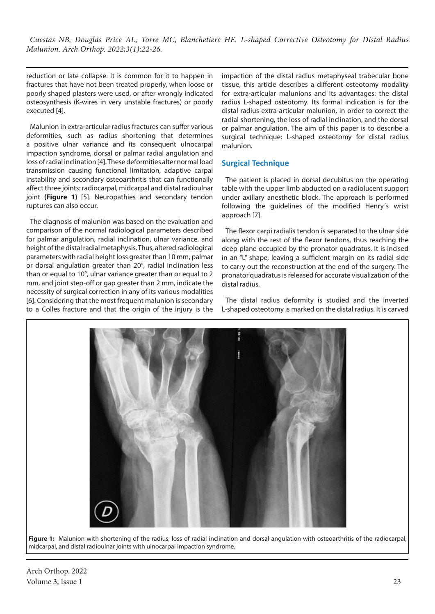reduction or late collapse. It is common for it to happen in fractures that have not been treated properly, when loose or poorly shaped plasters were used, or after wrongly indicated osteosynthesis (K-wires in very unstable fractures) or poorly executed [4].

Malunion in extra-articular radius fractures can suffer various deformities, such as radius shortening that determines a positive ulnar variance and its consequent ulnocarpal impaction syndrome, dorsal or palmar radial angulation and loss of radial inclination [4]. These deformities alter normal load transmission causing functional limitation, adaptive carpal instability and secondary osteoarthritis that can functionally affect three joints: radiocarpal, midcarpal and distal radioulnar joint **(Figure 1)** [5]. Neuropathies and secondary tendon ruptures can also occur.

The diagnosis of malunion was based on the evaluation and comparison of the normal radiological parameters described for palmar angulation, radial inclination, ulnar variance, and height of the distal radial metaphysis. Thus, altered radiological parameters with radial height loss greater than 10 mm, palmar or dorsal angulation greater than 20°, radial inclination less than or equal to 10°, ulnar variance greater than or equal to 2 mm, and joint step-off or gap greater than 2 mm, indicate the necessity of surgical correction in any of its various modalities [6]. Considering that the most frequent malunion is secondary to a Colles fracture and that the origin of the injury is the

impaction of the distal radius metaphyseal trabecular bone tissue, this article describes a different osteotomy modality for extra-articular malunions and its advantages: the distal radius L-shaped osteotomy. Its formal indication is for the distal radius extra-articular malunion, in order to correct the radial shortening, the loss of radial inclination, and the dorsal or palmar angulation. The aim of this paper is to describe a surgical technique: L-shaped osteotomy for distal radius malunion.

# **Surgical Technique**

The patient is placed in dorsal decubitus on the operating table with the upper limb abducted on a radiolucent support under axillary anesthetic block. The approach is performed following the guidelines of the modified Henry´s wrist approach [7].

The flexor carpi radialis tendon is separated to the ulnar side along with the rest of the flexor tendons, thus reaching the deep plane occupied by the pronator quadratus. It is incised in an "L" shape, leaving a sufficient margin on its radial side to carry out the reconstruction at the end of the surgery. The pronator quadratus is released for accurate visualization of the distal radius.

The distal radius deformity is studied and the inverted L-shaped osteotomy is marked on the distal radius. It is carved





Arch Orthop. 2022 Volume 3, Issue 1 23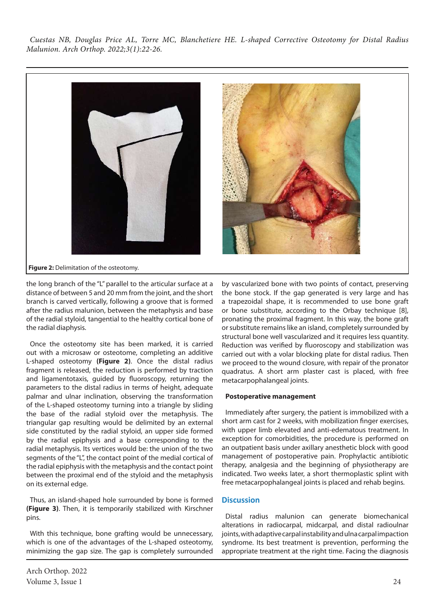

**Figure 2:** Delimitation of the osteotomy.

the long branch of the "L" parallel to the articular surface at a distance of between 5 and 20 mm from the joint, and the short branch is carved vertically, following a groove that is formed after the radius malunion, between the metaphysis and base of the radial styloid, tangential to the healthy cortical bone of the radial diaphysis.

Once the osteotomy site has been marked, it is carried out with a microsaw or osteotome, completing an additive L-shaped osteotomy **(Figure 2)**. Once the distal radius fragment is released, the reduction is performed by traction and ligamentotaxis, guided by fluoroscopy, returning the parameters to the distal radius in terms of height, adequate palmar and ulnar inclination, observing the transformation of the L-shaped osteotomy turning into a triangle by sliding the base of the radial styloid over the metaphysis. The triangular gap resulting would be delimited by an external side constituted by the radial styloid, an upper side formed by the radial epiphysis and a base corresponding to the radial metaphysis. Its vertices would be: the union of the two segments of the "L", the contact point of the medial cortical of the radial epiphysis with the metaphysis and the contact point between the proximal end of the styloid and the metaphysis on its external edge.

Thus, an island-shaped hole surrounded by bone is formed **(Figure 3)**. Then, it is temporarily stabilized with Kirschner pins.

With this technique, bone grafting would be unnecessary, which is one of the advantages of the L-shaped osteotomy, minimizing the gap size. The gap is completely surrounded by vascularized bone with two points of contact, preserving the bone stock. If the gap generated is very large and has a trapezoidal shape, it is recommended to use bone graft or bone substitute, according to the Orbay technique [8], pronating the proximal fragment. In this way, the bone graft or substitute remains like an island, completely surrounded by structural bone well vascularized and it requires less quantity. Reduction was verified by fluoroscopy and stabilization was carried out with a volar blocking plate for distal radius. Then we proceed to the wound closure, with repair of the pronator quadratus. A short arm plaster cast is placed, with free metacarpophalangeal joints.

#### **Postoperative management**

Immediately after surgery, the patient is immobilized with a short arm cast for 2 weeks, with mobilization finger exercises, with upper limb elevated and anti-edematous treatment. In exception for comorbidities, the procedure is performed on an outpatient basis under axillary anesthetic block with good management of postoperative pain. Prophylactic antibiotic therapy, analgesia and the beginning of physiotherapy are indicated. Two weeks later, a short thermoplastic splint with free metacarpophalangeal joints is placed and rehab begins.

## **Discussion**

Distal radius malunion can generate biomechanical alterations in radiocarpal, midcarpal, and distal radioulnar joints, with adaptive carpal instability and ulna carpal impaction syndrome. Its best treatment is prevention, performing the appropriate treatment at the right time. Facing the diagnosis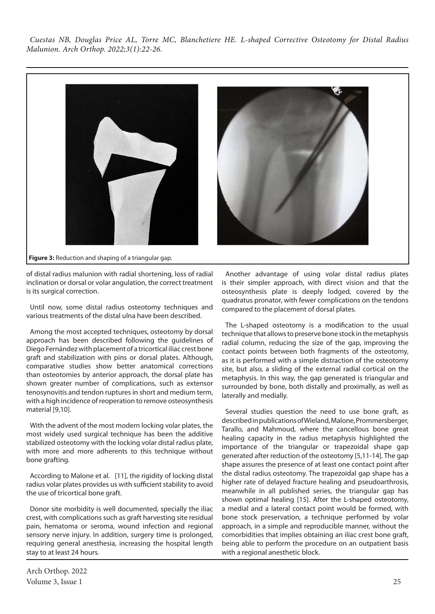

**Figure 3:** Reduction and shaping of a triangular gap.

of distal radius malunion with radial shortening, loss of radial inclination or dorsal or volar angulation, the correct treatment is its surgical correction.

Until now, some distal radius osteotomy techniques and various treatments of the distal ulna have been described.

Among the most accepted techniques, osteotomy by dorsal approach has been described following the guidelines of Diego Fernández with placement of a tricortical iliac crest bone graft and stabilization with pins or dorsal plates. Although, comparative studies show better anatomical corrections than osteotomies by anterior approach, the dorsal plate has shown greater number of complications, such as extensor tenosynovitis and tendon ruptures in short and medium term, with a high incidence of reoperation to remove osteosynthesis material [9,10].

With the advent of the most modern locking volar plates, the most widely used surgical technique has been the additive stabilized osteotomy with the locking volar distal radius plate, with more and more adherents to this technique without bone grafting.

According to Malone et al. [11], the rigidity of locking distal radius volar plates provides us with sufficient stability to avoid the use of tricortical bone graft.

Donor site morbidity is well documented, specially the iliac crest, with complications such as graft harvesting site residual pain, hematoma or seroma, wound infection and regional sensory nerve injury. In addition, surgery time is prolonged, requiring general anesthesia, increasing the hospital length stay to at least 24 hours.

Another advantage of using volar distal radius plates is their simpler approach, with direct vision and that the osteosynthesis plate is deeply lodged, covered by the quadratus pronator, with fewer complications on the tendons compared to the placement of dorsal plates.

The L-shaped osteotomy is a modification to the usual technique that allows to preserve bone stock in the metaphysis radial column, reducing the size of the gap, improving the contact points between both fragments of the osteotomy, as it is performed with a simple distraction of the osteotomy site, but also, a sliding of the external radial cortical on the metaphysis. In this way, the gap generated is triangular and surrounded by bone, both distally and proximally, as well as laterally and medially.

Several studies question the need to use bone graft, as described in publications of Wieland, Malone, Prommersberger, Tarallo, and Mahmoud, where the cancellous bone great healing capacity in the radius metaphysis highlighted the importance of the triangular or trapezoidal shape gap generated after reduction of the osteotomy [5,11-14]. The gap shape assures the presence of at least one contact point after the distal radius osteotomy. The trapezoidal gap shape has a higher rate of delayed fracture healing and pseudoarthrosis, meanwhile in all published series, the triangular gap has shown optimal healing [15]. After the L-shaped osteotomy, a medial and a lateral contact point would be formed, with bone stock preservation, a technique performed by volar approach, in a simple and reproducible manner, without the comorbidities that implies obtaining an iliac crest bone graft, being able to perform the procedure on an outpatient basis with a regional anesthetic block.